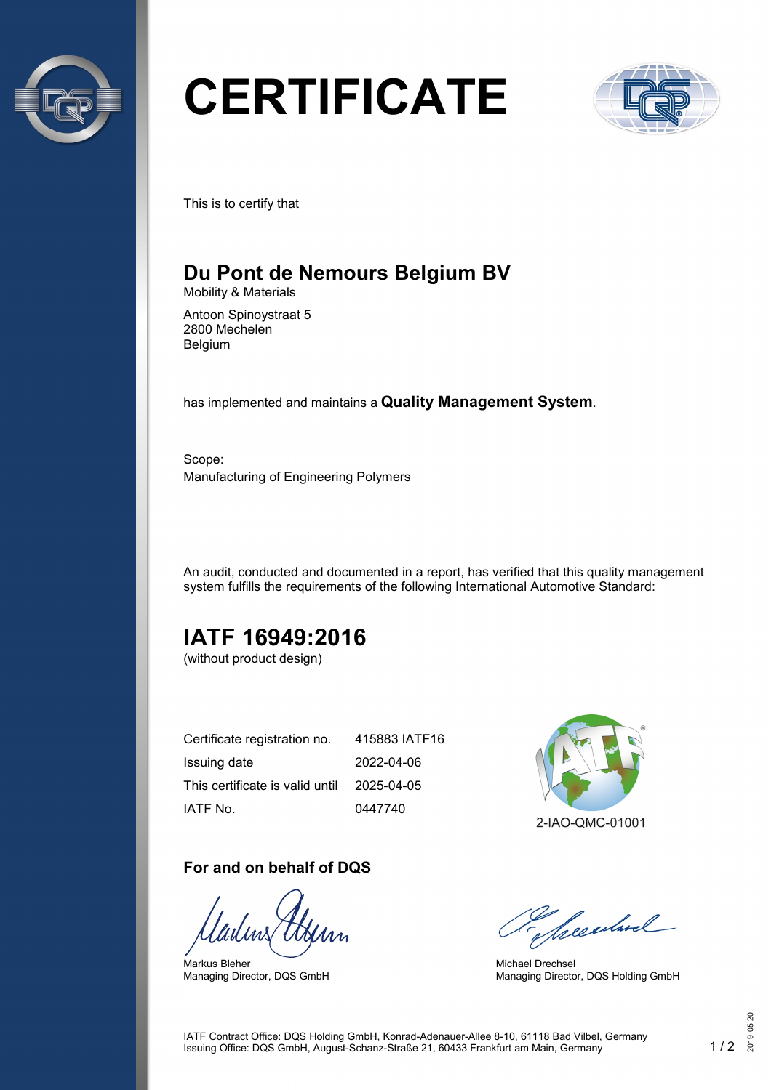

# **CERTIFICATE**



This is to certify that

## **Du Pont de Nemours Belgium BV**

Mobility & Materials

Antoon Spinoystraat 5 2800 Mechelen Belgium

has implemented and maintains a **Quality Management System**.

Scope: Manufacturing of Engineering Polymers

An audit, conducted and documented in a report, has verified that this quality management system fulfills the requirements of the following International Automotive Standard:

## **IATF 16949:2016**

(without product design)

| Certificate registration no.    | 415883 IATF16 |
|---------------------------------|---------------|
| Issuing date                    | 2022-04-06    |
| This certificate is valid until | 2025-04-05    |
| IATF No.                        | 0447740       |

#### **For and on behalf of DQS**

Markus Bleher Managing Director, DQS GmbH



Seculard

Michael Drechsel Managing Director, DQS Holding GmbH

IATF Contract Office: DQS Holding GmbH, Konrad-Adenauer-Allee 8-10, 61118 Bad Vilbel, Germany Issuing Office: DQS GmbH, August-Schanz-Straße 21, 60433 Frankfurt am Main, Germany 1 / 2